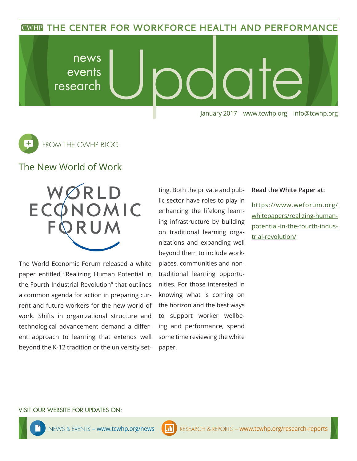**CWHP THE CENTER FOR WORKFORCE HEALTH AND PERFORMANCE** 





# The New World of Work

The World Economic Forum released a white paper entitled "Realizing Human Potential in the Fourth Industrial Revolution" that outlines a common agenda for action in preparing current and future workers for the new world of work. Shifts in organizational structure and technological advancement demand a different approach to learning that extends well beyond the K-12 tradition or the university setting. Both the private and public sector have roles to play in enhancing the lifelong learning infrastructure by building on traditional learning organizations and expanding well beyond them to include workplaces, communities and nontraditional learning opportunities. For those interested in knowing what is coming on the horizon and the best ways to support worker wellbeing and performance, spend some time reviewing the white paper.

### **Read the White Paper at:**

https://www.weforum.org/ whitepapers/realizing-humanpotential-in-the-fourth-industrial-revolution/

#### VISIT OUR WEBSITE FOR UPDATES ON: